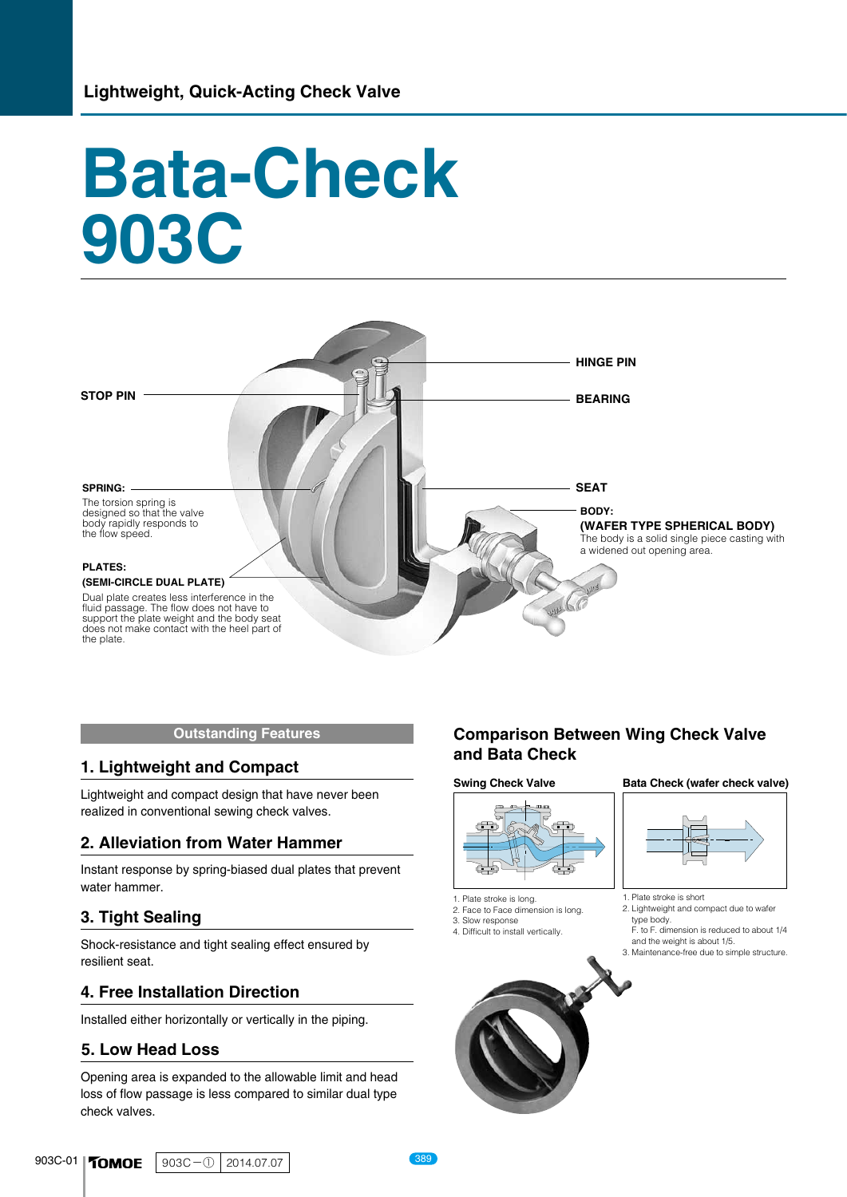# **Bata-Check 903C**



#### **Outstanding Features**

### **1. Lightweight and Compact**

Lightweight and compact design that have never been realized in conventional sewing check valves.

#### **2. Alleviation from Water Hammer**

Instant response by spring-biased dual plates that prevent water hammer.

#### **3. Tight Sealing**

Shock-resistance and tight sealing effect ensured by resilient seat.

#### **4. Free Installation Direction**

Installed either horizontally or vertically in the piping.

#### **5. Low Head Loss**

Opening area is expanded to the allowable limit and head loss of flow passage is less compared to similar dual type check valves.

## **Comparison Between Wing Check Valve and Bata Check**